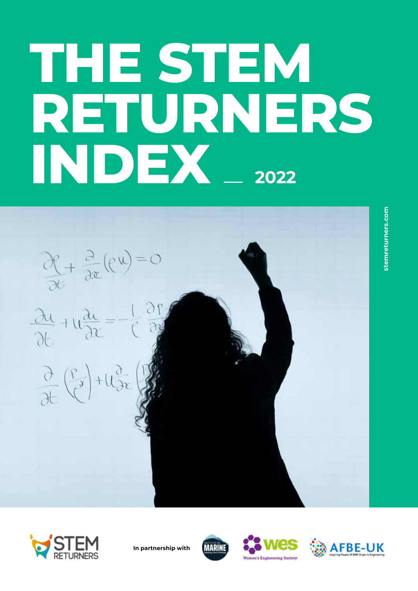# **THE STEM RETURNERS INDEX** \_\_ 2022

 $\frac{\partial f}{\partial t} + \frac{\partial}{\partial x}(f^{u}) = 0$ <br> $\frac{\partial u}{\partial t} + u \frac{\partial u}{\partial x} = -\frac{1}{C} \frac{\partial f}{\partial x}$ 

 $\frac{\partial}{\partial t}(\frac{p}{c})+u_{\partial x}^2\left(\frac{p}{c}\right)$ 







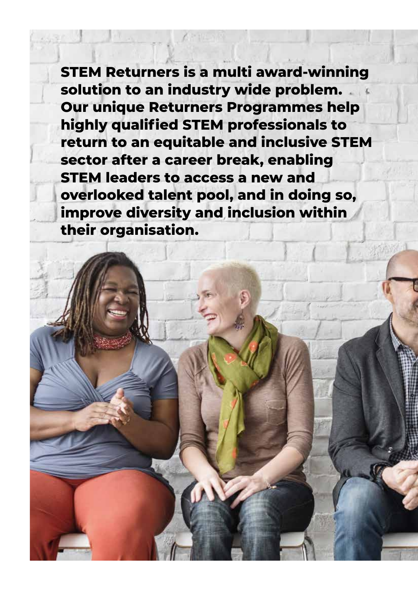**STEM Returners is a multi award-winning solution to an industry wide problem. Our unique Returners Programmes help highly qualified STEM professionals to return to an equitable and inclusive STEM sector after a career break, enabling STEM leaders to access a new and overlooked talent pool, and in doing so, improve diversity and inclusion within their organisation.**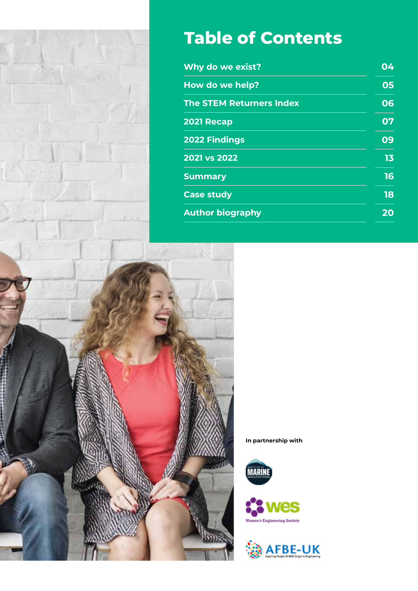

# **Table of Contents**

| 04 |
|----|
| 05 |
| 06 |
| 07 |
| 09 |
| 13 |
| 16 |
| 18 |
| 20 |
|    |







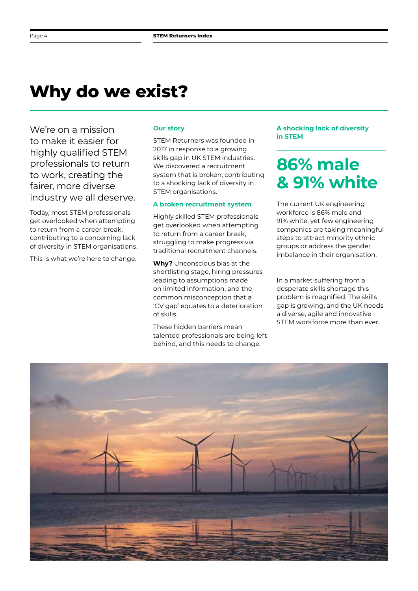# **Why do we exist?**

We're on a mission to make it easier for highly qualified STEM professionals to return to work, creating the fairer, more diverse industry we all deserve.

Today, most STEM professionals get overlooked when attempting to return from a career break, contributing to a concerning lack of diversity in STEM organisations.

This is what we're here to change.

#### **Our story**

STEM Returners was founded in 2017 in response to a growing skills gap in UK STEM industries. We discovered a recruitment system that is broken, contributing to a shocking lack of diversity in STEM organisations.

#### **A broken recruitment system**

Highly skilled STEM professionals get overlooked when attempting to return from a career break, struggling to make progress via traditional recruitment channels.

**Why?** Unconscious bias at the shortlisting stage, hiring pressures leading to assumptions made on limited information, and the common misconception that a 'CV gap' equates to a deterioration of skills.

These hidden barriers mean talented professionals are being left behind, and this needs to change.

**A shocking lack of diversity in STEM**

# **86% male & 91% white**

The current UK engineering workforce is 86% male and 91% white, yet few engineering companies are taking meaningful steps to attract minority ethnic groups or address the gender imbalance in their organisation.

In a market suffering from a desperate skills shortage this problem is magnified. The skills gap is growing, and the UK needs a diverse, agile and innovative STEM workforce more than ever.

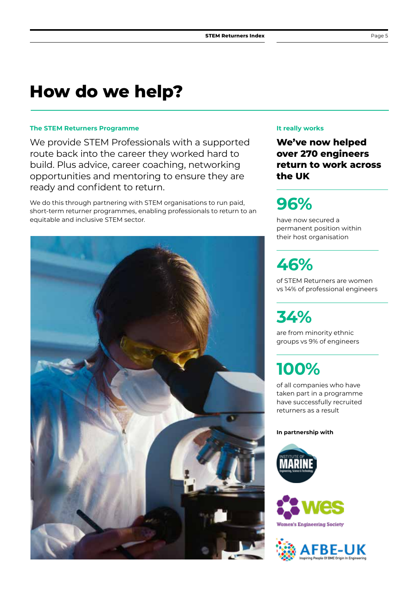## **How do we help?**

#### **The STEM Returners Programme**

We provide STEM Professionals with a supported route back into the career they worked hard to build. Plus advice, career coaching, networking opportunities and mentoring to ensure they are ready and confident to return.

We do this through partnering with STEM organisations to run paid, short-term returner programmes, enabling professionals to return to an equitable and inclusive STEM sector.



#### **It really works**

**We've now helped over 270 engineers return to work across the UK**

# **96%**

have now secured a permanent position within their host organisation

# **46%**

of STEM Returners are women vs 14% of professional engineers

# **34%**

are from minority ethnic groups vs 9% of engineers

# **100%**

of all companies who have taken part in a programme have successfully recruited returners as a result





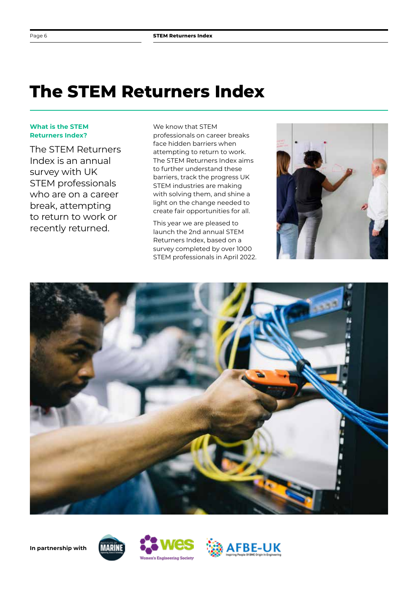# **The STEM Returners Index**

#### **What is the STEM Returners Index?**

The STEM Returners Index is an annual survey with UK STEM professionals who are on a career break, attempting to return to work or recently returned.

We know that STFM professionals on career breaks face hidden barriers when attempting to return to work. The STEM Returners Index aims to further understand these barriers, track the progress UK STEM industries are making with solving them, and shine a light on the change needed to create fair opportunities for all.

This year we are pleased to launch the 2nd annual STEM Returners Index, based on a survey completed by over 1000 STEM professionals in April 2022.









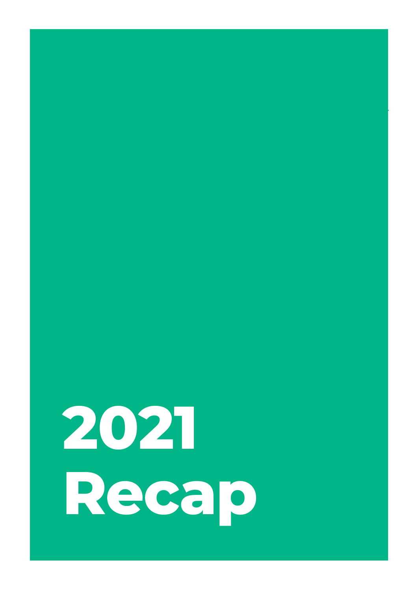# **2021 Recap**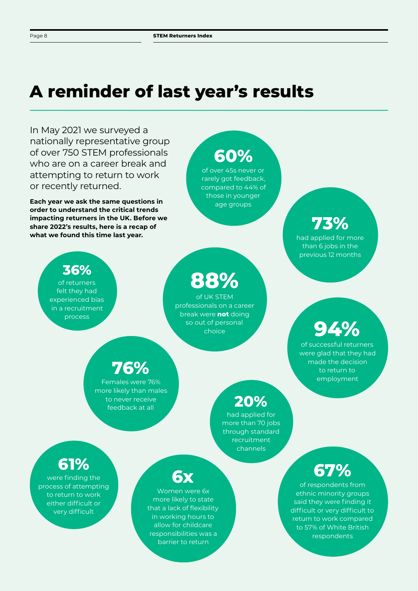# **A reminder of last year's results**

In May 2021 we surveyed a nationally representative group of over 750 STEM professionals who are on a career break and attempting to return to work or recently returned. **Each year we ask the same questions in** 

**order to understand the critical trends impacting returners in the UK. Before we share 2022's results, here is a recap of what we found this time last year.**

# **60%**

of over 45s never or rarely got feedback, compared to 44% of those in younger age groups

## **73%**

had applied for more than 6 jobs in the previous 12 months

**94%** of successful returners were glad that they had made the decision to return to employment

### **36%**

of returners felt they had experienced bias in a recruitment process

# **88%**

of UK STEM professionals on a career break were **not** doing so out of personal choice

## **76%**

Females were 76% more likely than males to never receive feedback at all

### **20%**

had applied for more than 70 jobs through standard recruitment channels

## **61%**

were finding the process of attempting to return to work either difficult or very difficult

## **6x**

Women were 6x more likely to state that a lack of flexibility in working hours to allow for childcare responsibilities was a barrier to return

# **67%**

of respondents from ethnic minority groups said they were finding it difficult or very difficult to return to work compared to 57% of White British respondents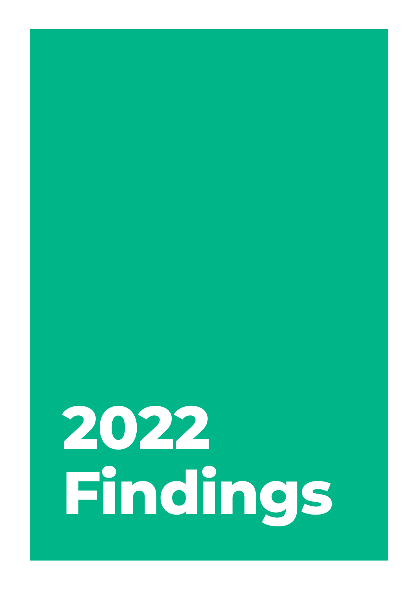# **2022 Findings**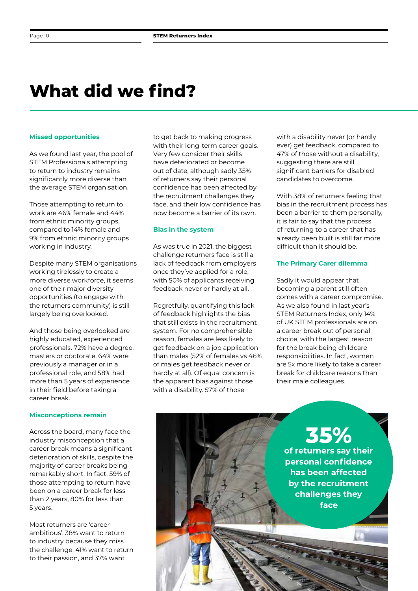# **What did we find?**

#### **Missed opportunities**

As we found last year, the pool of STEM Professionals attempting to return to industry remains significantly more diverse than the average STEM organisation.

Those attempting to return to work are 46% female and 44% from ethnic minority groups, compared to 14% female and 9% from ethnic minority groups working in industry.

Despite many STEM organisations working tirelessly to create a more diverse workforce, it seems one of their major diversity opportunities (to engage with the returners community) is still largely being overlooked.

And those being overlooked are highly educated, experienced professionals. 72% have a degree, masters or doctorate, 64% were previously a manager or in a professional role, and 58% had more than 5 years of experience in their field before taking a career break.

#### **Misconceptions remain**

Across the board, many face the industry misconception that a career break means a significant deterioration of skills, despite the majority of career breaks being remarkably short. In fact, 59% of those attempting to return have been on a career break for less than 2 years, 80% for less than 5 years.

Most returners are 'career ambitious'. 38% want to return to industry because they miss the challenge, 41% want to return to their passion, and 37% want

to get back to making progress with their long-term career goals. Very few consider their skills have deteriorated or become out of date, although sadly 35% of returners say their personal confidence has been affected by the recruitment challenges they face, and their low confidence has now become a barrier of its own.

#### **Bias in the system**

As was true in 2021, the biggest challenge returners face is still a lack of feedback from employers once they've applied for a role, with 50% of applicants receiving feedback never or hardly at all.

Regretfully, quantifying this lack of feedback highlights the bias that still exists in the recruitment system. For no comprehensible reason, females are less likely to get feedback on a job application than males (52% of females vs 46% of males get feedback never or hardly at all). Of equal concern is the apparent bias against those with a disability. 57% of those

with a disability never (or hardly ever) get feedback, compared to 47% of those without a disability, suggesting there are still significant barriers for disabled candidates to overcome.

With 38% of returners feeling that bias in the recruitment process has been a barrier to them personally, it is fair to say that the process of returning to a career that has already been built is still far more difficult than it should be.

#### **The Primary Carer dilemma**

Sadly it would appear that becoming a parent still often comes with a career compromise. As we also found in last year's STEM Returners Index, only 14% of UK STEM professionals are on a career break out of personal choice, with the largest reason for the break being childcare responsibilities. In fact, women are 5x more likely to take a career break for childcare reasons than their male colleagues.

**35% of returners say their personal confidence has been affected by the recruitment challenges they face**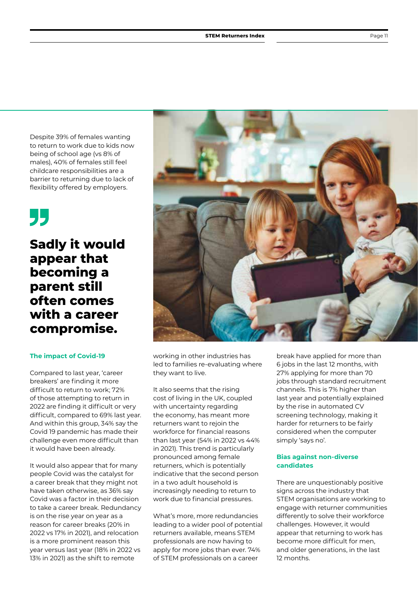Despite 39% of females wanting to return to work due to kids now being of school age (vs 8% of males), 40% of females still feel childcare responsibilities are a barrier to returning due to lack of flexibility offered by employers.

# 55

**Sadly it would appear that becoming a parent still often comes with a career compromise.** 

#### **The impact of Covid-19**

Compared to last year, 'career breakers' are finding it more difficult to return to work; 72% of those attempting to return in 2022 are finding it difficult or very difficult, compared to 69% last year. And within this group, 34% say the Covid 19 pandemic has made their challenge even more difficult than it would have been already.

It would also appear that for many people Covid was the catalyst for a career break that they might not have taken otherwise, as 36% say Covid was a factor in their decision to take a career break. Redundancy is on the rise year on year as a reason for career breaks (20% in 2022 vs 17% in 2021), and relocation is a more prominent reason this year versus last year (18% in 2022 vs 13% in 2021) as the shift to remote



working in other industries has led to families re-evaluating where they want to live.

It also seems that the rising cost of living in the UK, coupled with uncertainty regarding the economy, has meant more returners want to rejoin the workforce for financial reasons than last year (54% in 2022 vs 44% in 2021). This trend is particularly pronounced among female returners, which is potentially indicative that the second person in a two adult household is increasingly needing to return to work due to financial pressures.

What's more, more redundancies leading to a wider pool of potential returners available, means STEM professionals are now having to apply for more jobs than ever. 74% of STEM professionals on a career

break have applied for more than 6 jobs in the last 12 months, with 27% applying for more than 70 jobs through standard recruitment channels. This is 7% higher than last year and potentially explained by the rise in automated CV screening technology, making it harder for returners to be fairly considered when the computer simply 'says no'.

#### **Bias against non-diverse candidates**

There are unquestionably positive signs across the industry that STEM organisations are working to engage with returner communities differently to solve their workforce challenges. However, it would appear that returning to work has become more difficult for men, and older generations, in the last 12 months.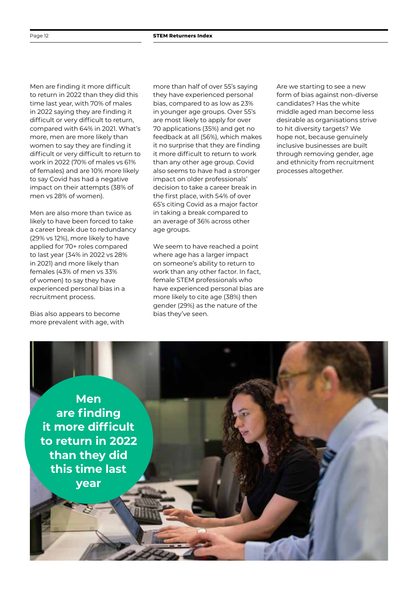Men are finding it more difficult to return in 2022 than they did this time last year, with 70% of males in 2022 saying they are finding it difficult or very difficult to return, compared with 64% in 2021. What's more, men are more likely than women to say they are finding it difficult or very difficult to return to work in 2022 (70% of males vs 61% of females) and are 10% more likely to say Covid has had a negative impact on their attempts (38% of men vs 28% of women).

Men are also more than twice as likely to have been forced to take a career break due to redundancy (29% vs 12%), more likely to have applied for 70+ roles compared to last year (34% in 2022 vs 28% in 2021) and more likely than females (43% of men vs 33% of women) to say they have experienced personal bias in a recruitment process.

Bias also appears to become more prevalent with age, with

more than half of over 55's saying they have experienced personal bias, compared to as low as 23% in younger age groups. Over 55's are most likely to apply for over 70 applications (35%) and get no feedback at all (56%), which makes it no surprise that they are finding it more difficult to return to work than any other age group. Covid also seems to have had a stronger impact on older professionals' decision to take a career break in the first place, with 54% of over 65's citing Covid as a major factor in taking a break compared to an average of 36% across other age groups.

We seem to have reached a point where age has a larger impact on someone's ability to return to work than any other factor. In fact, female STEM professionals who have experienced personal bias are more likely to cite age (38%) then gender (29%) as the nature of the bias they've seen.

Are we starting to see a new form of bias against non-diverse candidates? Has the white middle aged man become less desirable as organisations strive to hit diversity targets? We hope not, because genuinely inclusive businesses are built through removing gender, age and ethnicity from recruitment processes altogether.

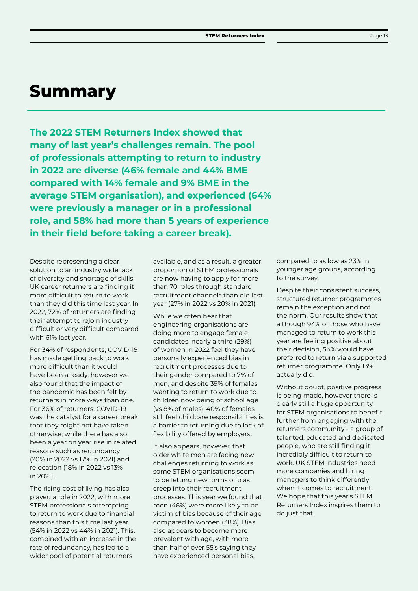## **Summary**

**The 2022 STEM Returners Index showed that many of last year's challenges remain. The pool of professionals attempting to return to industry in 2022 are diverse (46% female and 44% BME compared with 14% female and 9% BME in the average STEM organisation), and experienced (64% were previously a manager or in a professional role, and 58% had more than 5 years of experience in their field before taking a career break).** 

Despite representing a clear solution to an industry wide lack of diversity and shortage of skills, UK career returners are finding it more difficult to return to work than they did this time last year. In 2022, 72% of returners are finding their attempt to rejoin industry difficult or very difficult compared with 61% last year.

For 34% of respondents, COVID-19 has made getting back to work more difficult than it would have been already, however we also found that the impact of the pandemic has been felt by returners in more ways than one. For 36% of returners, COVID-19 was the catalyst for a career break that they might not have taken otherwise; while there has also been a year on year rise in related reasons such as redundancy (20% in 2022 vs 17% in 2021) and relocation (18% in 2022 vs 13% in 2021).

The rising cost of living has also played a role in 2022, with more STEM professionals attempting to return to work due to financial reasons than this time last year (54% in 2022 vs 44% in 2021). This, combined with an increase in the rate of redundancy, has led to a wider pool of potential returners

available, and as a result, a greater proportion of STEM professionals are now having to apply for more than 70 roles through standard recruitment channels than did last year (27% in 2022 vs 20% in 2021).

While we often hear that engineering organisations are doing more to engage female candidates, nearly a third (29%) of women in 2022 feel they have personally experienced bias in recruitment processes due to their gender compared to 7% of men, and despite 39% of females wanting to return to work due to children now being of school age (vs 8% of males), 40% of females still feel childcare responsibilities is a barrier to returning due to lack of flexibility offered by employers.

It also appears, however, that older white men are facing new challenges returning to work as some STEM organisations seem to be letting new forms of bias creep into their recruitment processes. This year we found that men (46%) were more likely to be victim of bias because of their age compared to women (38%). Bias also appears to become more prevalent with age, with more than half of over 55's saying they have experienced personal bias,

compared to as low as 23% in younger age groups, according to the survey.

Despite their consistent success, structured returner programmes remain the exception and not the norm. Our results show that although 94% of those who have managed to return to work this year are feeling positive about their decision, 54% would have preferred to return via a supported returner programme. Only 13% actually did.

Without doubt, positive progress is being made, however there is clearly still a huge opportunity for STEM organisations to benefit further from engaging with the returners community - a group of talented, educated and dedicated people, who are still finding it incredibly difficult to return to work. UK STEM industries need more companies and hiring managers to think differently when it comes to recruitment. We hope that this year's STEM Returners Index inspires them to do just that.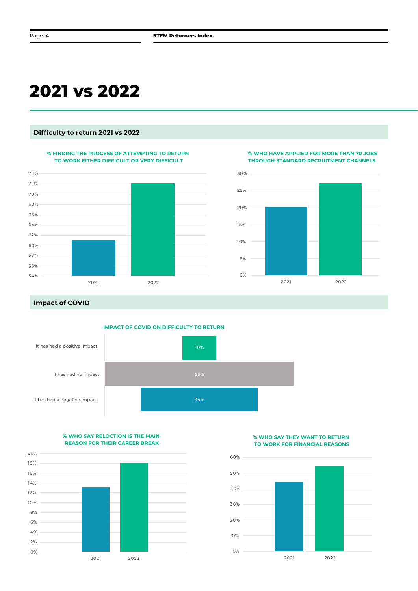# **2021 vs 2022**

#### **Difficulty to return 2021 vs 2022**

#### **% FINDING THE PROCESS OF ATTEMPTING TO RETURN TO WORK EITHER DIFFICULT OR VERY DIFFICULT**



**% WHO HAVE APPLIED FOR MORE THAN 70 JOBS THROUGH STANDARD RECRUITMENT CHANNELS** 



**Impact of COVID**



**% WHO SAY RELOCTION IS THE MAIN REASON FOR THEIR CAREER BREAK**



#### **% WHO SAY THEY WANT TO RETURN TO WORK FOR FINANCIAL REASONS**

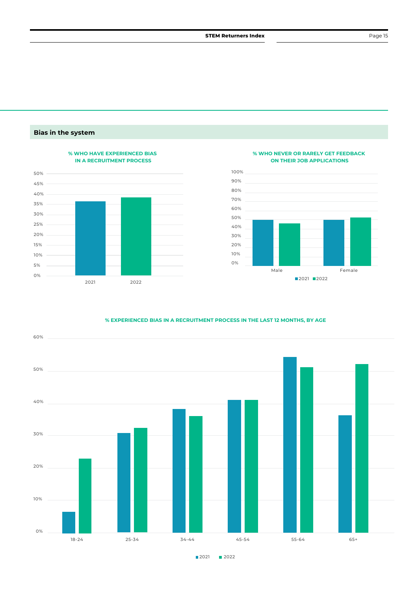#### **Bias in the system**



#### **% WHO NEVER OR RARELY GET FEEDBACK ON THEIR JOB APPLICATIONS**



#### **% EXPERIENCED BIAS IN A RECRUITMENT PROCESS IN THE LAST 12 MONTHS, BY AGE**



**2021** 2022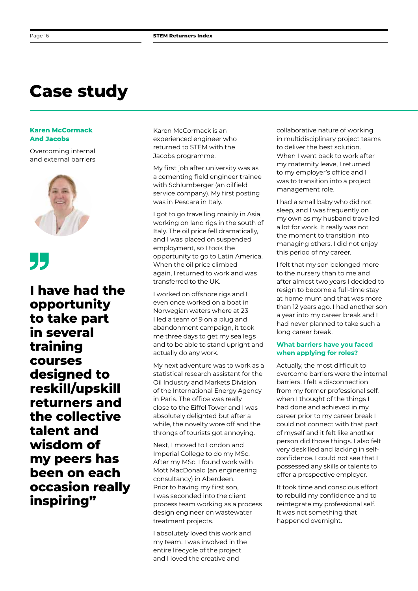# **Case study**

#### **Karen McCormack And Jacobs**

Overcoming internal and external barriers





**I have had the opportunity to take part in several training courses designed to reskill/upskill returners and the collective talent and wisdom of my peers has been on each occasion really inspiring"**

Karen McCormack is an experienced engineer who returned to STEM with the Jacobs programme.

My first job after university was as a cementing field engineer trainee with Schlumberger (an oilfield service company). My first posting was in Pescara in Italy.

I got to go travelling mainly in Asia, working on land rigs in the south of Italy. The oil price fell dramatically, and I was placed on suspended employment, so I took the opportunity to go to Latin America. When the oil price climbed again, I returned to work and was transferred to the UK.

I worked on offshore rigs and I even once worked on a boat in Norwegian waters where at 23 I led a team of 9 on a plug and abandonment campaign, it took me three days to get my sea legs and to be able to stand upright and actually do any work.

My next adventure was to work as a statistical research assistant for the Oil Industry and Markets Division of the International Energy Agency in Paris. The office was really close to the Eiffel Tower and I was absolutely delighted but after a while, the novelty wore off and the throngs of tourists got annoying.

Next, I moved to London and Imperial College to do my MSc. After my MSc, I found work with Mott MacDonald (an engineering consultancy) in Aberdeen. Prior to having my first son, I was seconded into the client process team working as a process design engineer on wastewater treatment projects.

I absolutely loved this work and my team. I was involved in the entire lifecycle of the project and I loved the creative and

collaborative nature of working in multidisciplinary project teams to deliver the best solution. When I went back to work after my maternity leave, I returned to my employer's office and I was to transition into a project management role.

I had a small baby who did not sleep, and I was frequently on my own as my husband travelled a lot for work. It really was not the moment to transition into managing others. I did not enjoy this period of my career.

I felt that my son belonged more to the nursery than to me and after almost two years I decided to resign to become a full-time stay at home mum and that was more than 12 years ago. I had another son a year into my career break and I had never planned to take such a long career break.

#### **What barriers have you faced when applying for roles?**

Actually, the most difficult to overcome barriers were the internal barriers. I felt a disconnection from my former professional self, when I thought of the things I had done and achieved in my career prior to my career break I could not connect with that part of myself and it felt like another person did those things. I also felt very deskilled and lacking in selfconfidence. I could not see that I possessed any skills or talents to offer a prospective employer.

It took time and conscious effort to rebuild my confidence and to reintegrate my professional self. It was not something that happened overnight.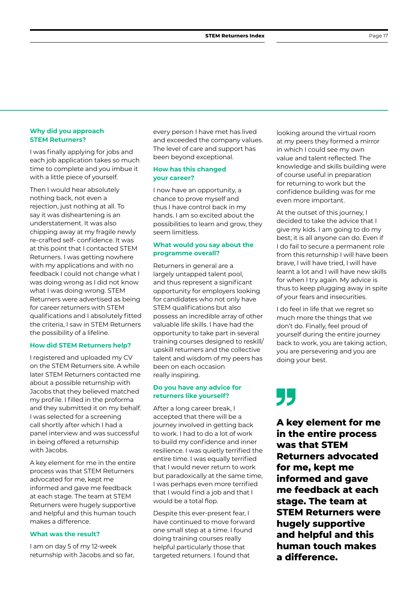#### **Why did you approach STEM Returners?**

I was finally applying for jobs and each job application takes so much time to complete and you imbue it with a little piece of yourself.

Then I would hear absolutely nothing back, not even a rejection, just nothing at all. To say it was disheartening is an understatement. It was also chipping away at my fragile newly re-crafted self- confidence. It was at this point that I contacted STEM Returners. I was getting nowhere with my applications and with no feedback I could not change what I was doing wrong as I did not know what I was doing wrong. STEM Returners were advertised as being for career returners with STEM qualifications and I absolutely fitted the criteria, I saw in STEM Returners the possibility of a lifeline.

#### **How did STEM Returners help?**

I registered and uploaded my CV on the STEM Returners site. A while later STEM Returners contacted me about a possible returnship with Jacobs that they believed matched my profile. I filled in the proforma and they submitted it on my behalf. I was selected for a screening call shortly after which I had a panel interview and was successful in being offered a returnship with Jacobs.

A key element for me in the entire process was that STEM Returners advocated for me, kept me informed and gave me feedback at each stage. The team at STEM Returners were hugely supportive and helpful and this human touch makes a difference.

#### **What was the result?**

I am on day 5 of my 12-week returnship with Jacobs and so far, every person I have met has lived and exceeded the company values. The level of care and support has been beyond exceptional.

#### **How has this changed your career?**

I now have an opportunity, a chance to prove myself and thus I have control back in my hands. I am so excited about the possibilities to learn and grow, they seem limitless.

#### **What would you say about the programme overall?**

Returners in general are a largely untapped talent pool, and thus represent a significant opportunity for employers looking for candidates who not only have STEM qualifications but also possess an incredible array of other valuable life skills. I have had the opportunity to take part in several training courses designed to reskill/ upskill returners and the collective talent and wisdom of my peers has been on each occasion really inspiring.

#### **Do you have any advice for returners like yourself?**

After a long career break, I accepted that there will be a journey involved in getting back to work. I had to do a lot of work to build my confidence and inner resilience. I was quietly terrified the entire time. I was equally terrified that I would never return to work but paradoxically at the same time, I was perhaps even more terrified that I would find a job and that I would be a total flop.

Despite this ever-present fear, I have continued to move forward one small step at a time. I found doing training courses really helpful particularly those that targeted returners. I found that

looking around the virtual room at my peers they formed a mirror in which I could see my own value and talent reflected. The knowledge and skills building were of course useful in preparation for returning to work but the confidence building was for me even more important.

At the outset of this journey, I decided to take the advice that I give my kids. I am going to do my best; it is all anyone can do. Even if I do fail to secure a permanent role from this returnship I will have been brave, I will have tried, I will have learnt a lot and I will have new skills for when I try again. My advice is thus to keep plugging away in spite of your fears and insecurities.

I do feel in life that we regret so much more the things that we don't do. Finally, feel proud of yourself during the entire journey back to work, you are taking action, you are persevering and you are doing your best.

# 55

**A key element for me in the entire process was that STEM Returners advocated for me, kept me informed and gave me feedback at each stage. The team at STEM Returners were hugely supportive and helpful and this human touch makes a difference.**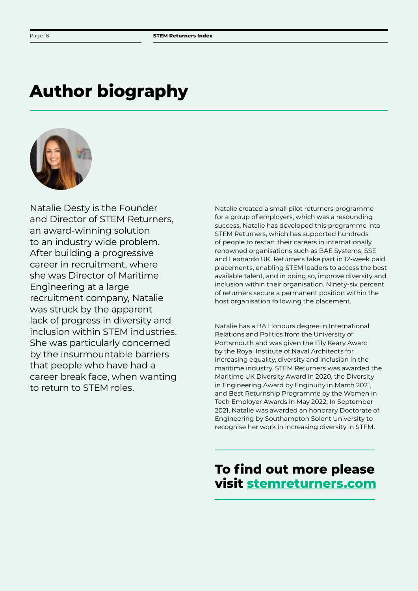# **Author biography**



Natalie Desty is the Founder and Director of STEM Returners, an award-winning solution to an industry wide problem. After building a progressive career in recruitment, where she was Director of Maritime Engineering at a large recruitment company, Natalie was struck by the apparent lack of progress in diversity and inclusion within STEM industries. She was particularly concerned by the insurmountable barriers that people who have had a career break face, when wanting to return to STEM roles.

Natalie created a small pilot returners programme for a group of employers, which was a resounding success. Natalie has developed this programme into STEM Returners, which has supported hundreds of people to restart their careers in internationally renowned organisations such as BAE Systems, SSE and Leonardo UK. Returners take part in 12-week paid placements, enabling STEM leaders to access the best available talent, and in doing so, improve diversity and inclusion within their organisation. Ninety-six percent of returners secure a permanent position within the host organisation following the placement.

Natalie has a BA Honours degree in International Relations and Politics from the University of Portsmouth and was given the Eily Keary Award by the Royal Institute of Naval Architects for increasing equality, diversity and inclusion in the maritime industry. STEM Returners was awarded the Maritime UK Diversity Award in 2020, the Diversity in Engineering Award by Enginuity in March 2021, and Best Returnship Programme by the Women in Tech Employer Awards in May 2022. In September 2021, Natalie was awarded an honorary Doctorate of Engineering by Southampton Solent University to recognise her work in increasing diversity in STEM.

### **To find out more please visit stemreturners.com**